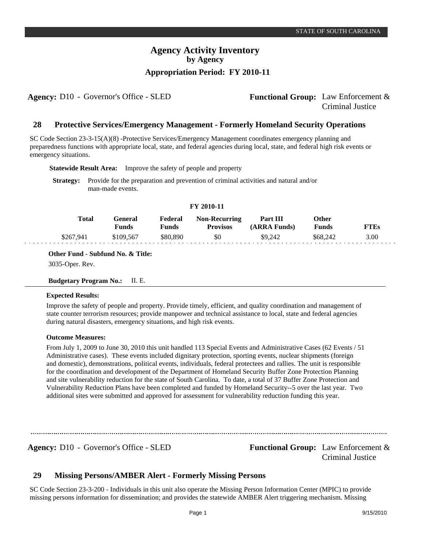**Agency:** D10 - Governor's Office - SLED **Functional Group:** Law Enforcement & Criminal Justice

#### **Protective Services/Emergency Management - Formerly Homeland Security Operations 28**

SC Code Section 23-3-15(A)(8) -Protective Services/Emergency Management coordinates emergency planning and preparedness functions with appropriate local, state, and federal agencies during local, state, and federal high risk events or emergency situations.

**Statewide Result Area:** Improve the safety of people and property

**Strategy:** Provide for the preparation and prevention of criminal activities and natural and/or man-made events.

| FY 2010-11 |                  |                  |                                         |                          |                |             |  |  |  |  |
|------------|------------------|------------------|-----------------------------------------|--------------------------|----------------|-------------|--|--|--|--|
| Total      | General<br>Funds | Federal<br>Funds | <b>Non-Recurring</b><br><b>Provisos</b> | Part III<br>(ARRA Funds) | Other<br>Funds | <b>FTEs</b> |  |  |  |  |
| \$267.941  | \$109,567        | \$80,890         | \$0                                     | \$9,242                  | \$68,242       | 3.00        |  |  |  |  |

**Other Fund - Subfund No. & Title:**

3035-Oper. Rev.

### **Budgetary Program No.:** II. E.

### **Expected Results:**

Improve the safety of people and property. Provide timely, efficient, and quality coordination and management of state counter terrorism resources; provide manpower and technical assistance to local, state and federal agencies during natural disasters, emergency situations, and high risk events.

### **Outcome Measures:**

From July 1, 2009 to June 30, 2010 this unit handled 113 Special Events and Administrative Cases (62 Events / 51 Administrative cases). These events included dignitary protection, sporting events, nuclear shipments (foreign and domestic), demonstrations, political events, individuals, federal protectees and rallies. The unit is responsible for the coordination and development of the Department of Homeland Security Buffer Zone Protection Planning and site vulnerability reduction for the state of South Carolina. To date, a total of 37 Buffer Zone Protection and Vulnerability Reduction Plans have been completed and funded by Homeland Security--5 over the last year. Two additional sites were submitted and approved for assessment for vulnerability reduction funding this year.

**Agency:** D10 - Governor's Office - SLED **Functional Group:** Law Enforcement & Criminal Justice

#### **Missing Persons/AMBER Alert - Formerly Missing Persons 29**

SC Code Section 23-3-200 - Individuals in this unit also operate the Missing Person Information Center (MPIC) to provide missing persons information for dissemination; and provides the statewide AMBER Alert triggering mechanism. Missing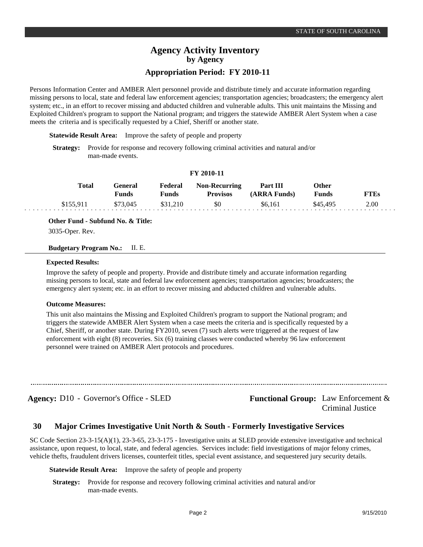# **Appropriation Period: FY 2010-11**

Persons Information Center and AMBER Alert personnel provide and distribute timely and accurate information regarding missing persons to local, state and federal law enforcement agencies; transportation agencies; broadcasters; the emergency alert system; etc., in an effort to recover missing and abducted children and vulnerable adults. This unit maintains the Missing and Exploited Children's program to support the National program; and triggers the statewide AMBER Alert System when a case meets the criteria and is specifically requested by a Chief, Sheriff or another state.

**Statewide Result Area:** Improve the safety of people and property

**Strategy:** Provide for response and recovery following criminal activities and natural and/or man-made events.

### **FY 2010-11**

| Total     | General<br><b>Funds</b> | Federal<br>Funds | <b>Non-Recurring</b><br><b>Provisos</b> | Part III<br>(ARRA Funds) | Other<br><b>Funds</b> | <b>FTEs</b> |
|-----------|-------------------------|------------------|-----------------------------------------|--------------------------|-----------------------|-------------|
| \$155.911 | \$73,045                | \$31.210         | \$0                                     | \$6.161                  | \$45,495              | 2.00        |

**Other Fund - Subfund No. & Title:**

3035-Oper. Rev.

**Budgetary Program No.:** II. E.

### **Expected Results:**

Improve the safety of people and property. Provide and distribute timely and accurate information regarding missing persons to local, state and federal law enforcement agencies; transportation agencies; broadcasters; the emergency alert system; etc. in an effort to recover missing and abducted children and vulnerable adults.

### **Outcome Measures:**

This unit also maintains the Missing and Exploited Children's program to support the National program; and triggers the statewide AMBER Alert System when a case meets the criteria and is specifically requested by a Chief, Sheriff, or another state. During FY2010, seven (7) such alerts were triggered at the request of law enforcement with eight (8) recoveries. Six (6) training classes were conducted whereby 96 law enforcement personnel were trained on AMBER Alert protocols and procedures.

Agency: D10 - Governor's Office - SLED Functional Group: Law Enforcement & Criminal Justice

#### **Major Crimes Investigative Unit North & South - Formerly Investigative Services 30**

SC Code Section 23-3-15(A)(1), 23-3-65, 23-3-175 - Investigative units at SLED provide extensive investigative and technical assistance, upon request, to local, state, and federal agencies. Services include: field investigations of major felony crimes, vehicle thefts, fraudulent drivers licenses, counterfeit titles, special event assistance, and sequestered jury security details.

**Statewide Result Area:** Improve the safety of people and property

**Strategy:** Provide for response and recovery following criminal activities and natural and/or man-made events.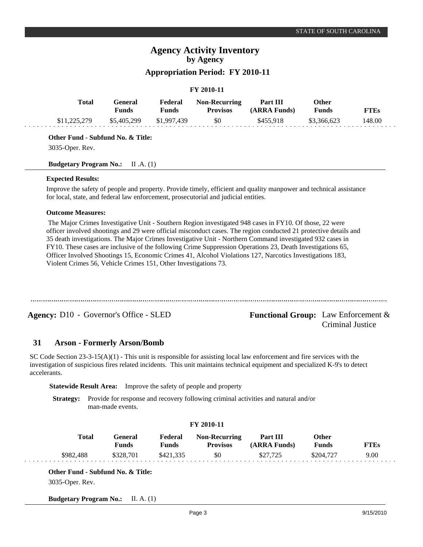# **Appropriation Period: FY 2010-11**

### **FY 2010-11**

| <b>Total</b> | General<br>Funds | Federal<br>Funds | <b>Non-Recurring</b><br><b>Provisos</b> | <b>Part III</b><br>(ARRA Funds) | Other<br><b>Funds</b> | <b>FTEs</b> |
|--------------|------------------|------------------|-----------------------------------------|---------------------------------|-----------------------|-------------|
| \$11,225,279 | \$5,405,299      | \$1.997.439      | SO.                                     | \$455.918                       | \$3,366,623           | 148.00      |

### **Other Fund - Subfund No. & Title:**

3035-Oper. Rev.

### **Budgetary Program No.:** II .A. (1)

### **Expected Results:**

Improve the safety of people and property. Provide timely, efficient and quality manpower and technical assistance for local, state, and federal law enforcement, prosecutorial and judicial entities.

### **Outcome Measures:**

 The Major Crimes Investigative Unit - Southern Region investigated 948 cases in FY10. Of those, 22 were officer involved shootings and 29 were official misconduct cases. The region conducted 21 protective details and 35 death investigations. The Major Crimes Investigative Unit - Northern Command investigated 932 cases in FY10. These cases are inclusive of the following Crime Suppression Operations 23, Death Investigations 65, Officer Involved Shootings 15, Economic Crimes 41, Alcohol Violations 127, Narcotics Investigations 183, Violent Crimes 56, Vehicle Crimes 151, Other Investigations 73.

**Agency:** D10 - Governor's Office - SLED **Functional Group:** Law Enforcement & Criminal Justice

#### **Arson - Formerly Arson/Bomb 31**

SC Code Section  $23-3-15(A)(1)$  - This unit is responsible for assisting local law enforcement and fire services with the investigation of suspicious fires related incidents. This unit maintains technical equipment and specialized K-9's to detect accelerants.

**Statewide Result Area:** Improve the safety of people and property

**Strategy:** Provide for response and recovery following criminal activities and natural and/or man-made events.

| FY 2010-11 |  |
|------------|--|
|------------|--|

| Total     | General<br><b>Funds</b> | Federal<br>Funds | <b>Non-Recurring</b><br><b>Provisos</b> | <b>Part III</b><br>(ARRA Funds) | Other<br><b>Funds</b> | FTEs |  |
|-----------|-------------------------|------------------|-----------------------------------------|---------------------------------|-----------------------|------|--|
| \$982,488 | \$328,701               | \$421.335        | \$0                                     | \$27,725                        | \$204,727             | 9.00 |  |

**Other Fund - Subfund No. & Title:** 3035-Oper. Rev.

**Budgetary Program No.:** II. A. (1)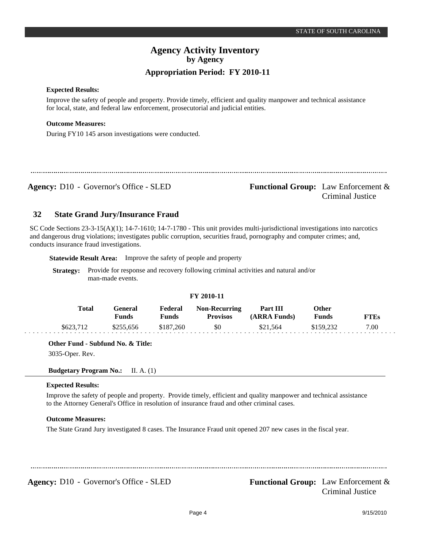### **Expected Results:**

Improve the safety of people and property. Provide timely, efficient and quality manpower and technical assistance for local, state, and federal law enforcement, prosecutorial and judicial entities.

### **Outcome Measures:**

During FY10 145 arson investigations were conducted.

Agency: D10 - Governor's Office - SLED Functional Group: Law Enforcement & Criminal Justice

#### **State Grand Jury/Insurance Fraud 32**

SC Code Sections 23-3-15(A)(1); 14-7-1610; 14-7-1780 - This unit provides multi-jurisdictional investigations into narcotics and dangerous drug violations; investigates public corruption, securities fraud, pornography and computer crimes; and, conducts insurance fraud investigations.

**Statewide Result Area:** Improve the safety of people and property

**Strategy:** Provide for response and recovery following criminal activities and natural and/or man-made events.

#### **FY 2010-11 General Funds**  \$255,656 **Other Funds** \$159,232 **Federal Funds**  \$187,260 **FTEs** 7.00 **Total**  \$623,712 **Non-Recurring Provisos** \$0 **Part III (ARRA Funds)** \$21,564

**Other Fund - Subfund No. & Title:**

3035-Oper. Rev.

**Budgetary Program No.:** II. A. (1)

### **Expected Results:**

Improve the safety of people and property. Provide timely, efficient and quality manpower and technical assistance to the Attorney General's Office in resolution of insurance fraud and other criminal cases.

### **Outcome Measures:**

The State Grand Jury investigated 8 cases. The Insurance Fraud unit opened 207 new cases in the fiscal year.

**Agency:** D10 - Governor's Office - SLED **Functional Group:** Law Enforcement & Criminal Justice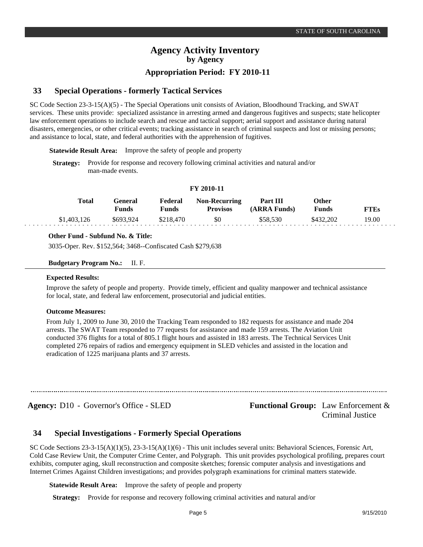# **Special Operations - formerly Tactical Services**

SC Code Section 23-3-15(A)(5) - The Special Operations unit consists of Aviation, Bloodhound Tracking, and SWAT services. These units provide: specialized assistance in arresting armed and dangerous fugitives and suspects; state helicopter law enforcement operations to include search and rescue and tactical support; aerial support and assistance during natural disasters, emergencies, or other critical events; tracking assistance in search of criminal suspects and lost or missing persons; and assistance to local, state, and federal authorities with the apprehension of fugitives.

**Statewide Result Area:** Improve the safety of people and property

**Strategy:** Provide for response and recovery following criminal activities and natural and/or man-made events.

### **FY 2010-11**

| Total       | General<br>Funds | Federal<br>Funds | <b>Non-Recurring</b><br><b>Provisos</b> | Part III<br>(ARRA Funds) | <b>Other</b><br><b>Funds</b> | <b>FTEs</b> |
|-------------|------------------|------------------|-----------------------------------------|--------------------------|------------------------------|-------------|
| \$1,403,126 | \$693.924        | \$218.470        | \$0                                     | \$58,530                 | \$432.202                    | 19.00       |

### **Other Fund - Subfund No. & Title:**

3035-Oper. Rev. \$152,564; 3468--Confiscated Cash \$279,638

### **Budgetary Program No.:** II. F.

### **Expected Results:**

**33**

Improve the safety of people and property. Provide timely, efficient and quality manpower and technical assistance for local, state, and federal law enforcement, prosecutorial and judicial entities.

### **Outcome Measures:**

From July 1, 2009 to June 30, 2010 the Tracking Team responded to 182 requests for assistance and made 204 arrests. The SWAT Team responded to 77 requests for assistance and made 159 arrests. The Aviation Unit conducted 376 flights for a total of 805.1 flight hours and assisted in 183 arrests. The Technical Services Unit completed 276 repairs of radios and emergency equipment in SLED vehicles and assisted in the location and eradication of 1225 marijuana plants and 37 arrests.

Agency: D10 - Governor's Office - SLED **Functional Group:** Law Enforcement & Criminal Justice

#### **Special Investigations - Formerly Special Operations 34**

SC Code Sections 23-3-15(A)(1)(5), 23-3-15(A)(1)(6) - This unit includes several units: Behavioral Sciences, Forensic Art, Cold Case Review Unit, the Computer Crime Center, and Polygraph. This unit provides psychological profiling, prepares court exhibits, computer aging, skull reconstruction and composite sketches; forensic computer analysis and investigations and Internet Crimes Against Children investigations; and provides polygraph examinations for criminal matters statewide.

**Statewide Result Area:** Improve the safety of people and property

**Strategy:** Provide for response and recovery following criminal activities and natural and/or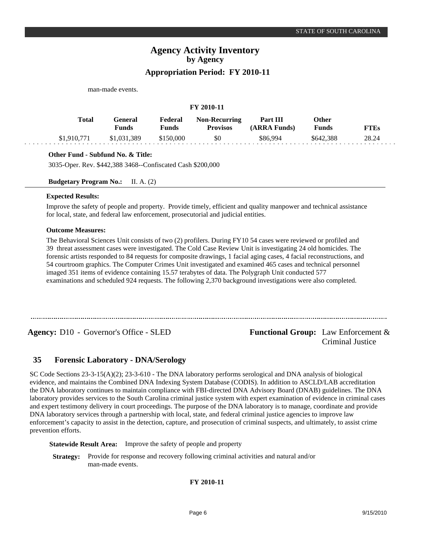| man-made events. |                                |                         |                                         |                          |                              |             |  |  |  |  |
|------------------|--------------------------------|-------------------------|-----------------------------------------|--------------------------|------------------------------|-------------|--|--|--|--|
| FY 2010-11       |                                |                         |                                         |                          |                              |             |  |  |  |  |
| <b>Total</b>     | <b>General</b><br><b>Funds</b> | Federal<br><b>Funds</b> | <b>Non-Recurring</b><br><b>Provisos</b> | Part III<br>(ARRA Funds) | <b>Other</b><br><b>Funds</b> | <b>FTEs</b> |  |  |  |  |
| \$1,910,771      | \$1,031,389                    | \$150,000               | \$0                                     | \$86,994                 | \$642,388                    | 28.24       |  |  |  |  |

### **Other Fund - Subfund No. & Title:**

3035-Oper. Rev. \$442,388 3468--Confiscated Cash \$200,000

**Budgetary Program No.:** II. A. (2)

### **Expected Results:**

Improve the safety of people and property. Provide timely, efficient and quality manpower and technical assistance for local, state, and federal law enforcement, prosecutorial and judicial entities.

### **Outcome Measures:**

The Behavioral Sciences Unit consists of two (2) profilers. During FY10 54 cases were reviewed or profiled and 39 threat assessment cases were investigated. The Cold Case Review Unit is investigating 24 old homicides. The forensic artists responded to 84 requests for composite drawings, 1 facial aging cases, 4 facial reconstructions, and 54 courtroom graphics. The Computer Crimes Unit investigated and examined 465 cases and technical personnel imaged 351 items of evidence containing 15.57 terabytes of data. The Polygraph Unit conducted 577 examinations and scheduled 924 requests. The following 2,370 background investigations were also completed.

**Agency:** D10 Governor's Office - SLED - **Functional Group:** Law Enforcement &

# Criminal Justice

#### **Forensic Laboratory - DNA/Serology 35**

SC Code Sections 23-3-15(A)(2); 23-3-610 - The DNA laboratory performs serological and DNA analysis of biological evidence, and maintains the Combined DNA Indexing System Database (CODIS). In addition to ASCLD/LAB accreditation the DNA laboratory continues to maintain compliance with FBI-directed DNA Advisory Board (DNAB) guidelines. The DNA laboratory provides services to the South Carolina criminal justice system with expert examination of evidence in criminal cases and expert testimony delivery in court proceedings. The purpose of the DNA laboratory is to manage, coordinate and provide DNA laboratory services through a partnership with local, state, and federal criminal justice agencies to improve law enforcement's capacity to assist in the detection, capture, and prosecution of criminal suspects, and ultimately, to assist crime prevention efforts.

**Statewide Result Area:** Improve the safety of people and property

**Strategy:** Provide for response and recovery following criminal activities and natural and/or man-made events.

### **FY 2010-11**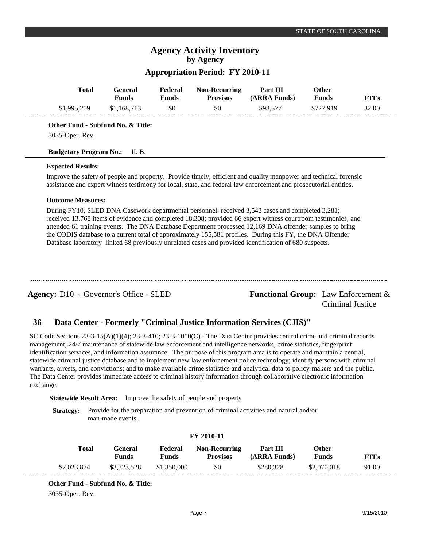# **Appropriation Period: FY 2010-11**

|             | General<br><b>Funds</b> | Federal<br><b>Funds</b> | <b>Non-Recurring</b><br><b>Provisos</b> | Part III<br>(ARRA Funds) | <b>Other</b><br><b>Funds</b> | <b>FTEs</b> |
|-------------|-------------------------|-------------------------|-----------------------------------------|--------------------------|------------------------------|-------------|
| \$1,995,209 | \$1,168,713             | \$0                     | \$0                                     | \$98,577                 | \$727.919                    | 32.00       |

### **Expected Results:**

Improve the safety of people and property. Provide timely, efficient and quality manpower and technical forensic assistance and expert witness testimony for local, state, and federal law enforcement and prosecutorial entities.

### **Outcome Measures:**

During FY10, SLED DNA Casework departmental personnel: received 3,543 cases and completed 3,281; received 13,768 items of evidence and completed 18,308; provided 66 expert witness courtroom testimonies; and attended 61 training events. The DNA Database Department processed 12,169 DNA offender samples to bring the CODIS database to a current total of approximately 155,581 profiles. During this FY, the DNA Offender Database laboratory linked 68 previously unrelated cases and provided identification of 680 suspects.

**Agency:** D10 - Governor's Office - SLED **Functional Group:** Law Enforcement &

Criminal Justice

#### **Data Center - Formerly "Criminal Justice Information Services (CJIS)" 36**

SC Code Sections  $23-3-15(A)(1)(4)$ ;  $23-3-410$ ;  $23-3-1010(C)$  - The Data Center provides central crime and criminal records management, 24/7 maintenance of statewide law enforcement and intelligence networks, crime statistics, fingerprint identification services, and information assurance. The purpose of this program area is to operate and maintain a central, statewide criminal justice database and to implement new law enforcement police technology; identify persons with criminal warrants, arrests, and convictions; and to make available crime statistics and analytical data to policy-makers and the public. The Data Center provides immediate access to criminal history information through collaborative electronic information exchange.

**Statewide Result Area:** Improve the safety of people and property

**Strategy:** Provide for the preparation and prevention of criminal activities and natural and/or man-made events.

### **FY 2010-11**

| Total       | General<br>Funds        | Federal<br>Funds | <b>Non-Recurring</b><br><b>Provisos</b> | Part III<br>(ARRA Funds) | Other<br><b>Funds</b> | <b>FTEs</b> |
|-------------|-------------------------|------------------|-----------------------------------------|--------------------------|-----------------------|-------------|
| \$7,023,874 | \$3,323,528 \$1,350,000 |                  | - \$0                                   | \$280.328                | \$2,070,018           | 91.00       |

**Other Fund - Subfund No. & Title:**

3035-Oper. Rev.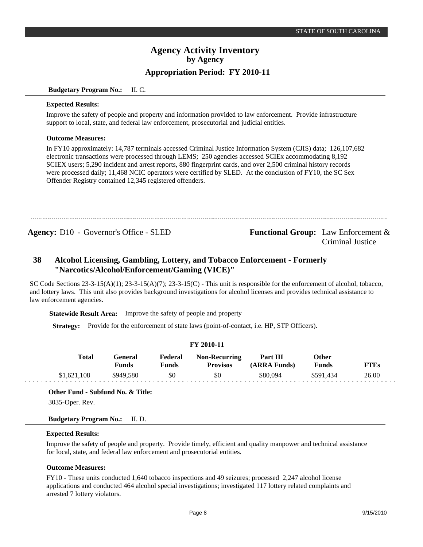### **Budgetary Program No.:** II. C.

### **Expected Results:**

Improve the safety of people and property and information provided to law enforcement. Provide infrastructure support to local, state, and federal law enforcement, prosecutorial and judicial entities.

### **Outcome Measures:**

In FY10 approximately: 14,787 terminals accessed Criminal Justice Information System (CJIS) data; 126,107,682 electronic transactions were processed through LEMS; 250 agencies accessed SCIEx accommodating 8,192 SCIEX users; 5,290 incident and arrest reports, 880 fingerprint cards, and over 2,500 criminal history records were processed daily; 11,468 NCIC operators were certified by SLED. At the conclusion of FY10, the SC Sex Offender Registry contained 12,345 registered offenders.

### **Agency:** D10 Governor's Office - SLED - **Functional Group:** Law Enforcement & Criminal Justice

### **Alcohol Licensing, Gambling, Lottery, and Tobacco Enforcement - Formerly "Narcotics/Alcohol/Enforcement/Gaming (VICE)" 38**

SC Code Sections  $23-3-15(A)(1)$ ;  $23-3-15(A)(7)$ ;  $23-3-15(C)$  - This unit is responsible for the enforcement of alcohol, tobacco, and lottery laws. This unit also provides background investigations for alcohol licenses and provides technical assistance to law enforcement agencies.

**Statewide Result Area:** Improve the safety of people and property

**Strategy:** Provide for the enforcement of state laws (point-of-contact, i.e. HP, STP Officers).

### **FY 2010-11**

| Total       | General<br>Funds | Federal<br>Funds | <b>Non-Recurring</b><br><b>Provisos</b> | Part III<br>(ARRA Funds) | Other<br>Funds | <b>FTEs</b> |
|-------------|------------------|------------------|-----------------------------------------|--------------------------|----------------|-------------|
| \$1,621,108 | \$949,580        | \$0              | \$0                                     | \$80.094                 | \$591.434      | 26.00       |

**Other Fund - Subfund No. & Title:**

3035-Oper. Rev.

### **Budgetary Program No.:** II. D.

### **Expected Results:**

Improve the safety of people and property. Provide timely, efficient and quality manpower and technical assistance for local, state, and federal law enforcement and prosecutorial entities.

### **Outcome Measures:**

FY10 - These units conducted 1,640 tobacco inspections and 49 seizures; processed 2,247 alcohol license applications and conducted 464 alcohol special investigations; investigated 117 lottery related complaints and arrested 7 lottery violators.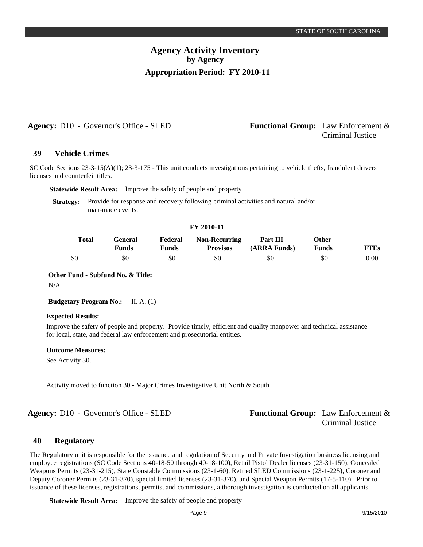Agency: D10 - Governor's Office - SLED **Functional Group:** Law Enforcement & Criminal Justice

#### **Vehicle Crimes 39**

SC Code Sections 23-3-15(A)(1); 23-3-175 - This unit conducts investigations pertaining to vehicle thefts, fraudulent drivers licenses and counterfeit titles.

**Statewide Result Area:** Improve the safety of people and property

**Strategy:** Provide for response and recovery following criminal activities and natural and/or man-made events.

### **FY 2010-11**

| Total | General<br>Funds | Federal<br>Funds | <b>Non-Recurring</b><br><b>Provisos</b> | Part III<br>(ARRA Funds) | Other<br><b>Funds</b> | FTEs |
|-------|------------------|------------------|-----------------------------------------|--------------------------|-----------------------|------|
| 80    | \$0              | \$0              | \$0                                     | \$0                      | \$0                   | 0.00 |

**Other Fund - Subfund No. & Title:**

N/A

**Budgetary Program No.:** II. A. (1)

### **Expected Results:**

Improve the safety of people and property. Provide timely, efficient and quality manpower and technical assistance for local, state, and federal law enforcement and prosecutorial entities.

### **Outcome Measures:**

See Activity 30.

Activity moved to function 30 - Major Crimes Investigative Unit North & South

**Agency:** D10 - Governor's Office - SLED **Functional Group:** Law Enforcement &

Criminal Justice

#### **Regulatory 40**

The Regulatory unit is responsible for the issuance and regulation of Security and Private Investigation business licensing and employee registrations (SC Code Sections 40-18-50 through 40-18-100), Retail Pistol Dealer licenses (23-31-150), Concealed Weapons Permits (23-31-215), State Constable Commissions (23-1-60), Retired SLED Commissions (23-1-225), Coroner and Deputy Coroner Permits (23-31-370), special limited licenses (23-31-370), and Special Weapon Permits (17-5-110). Prior to issuance of these licenses, registrations, permits, and commissions, a thorough investigation is conducted on all applicants.

**Statewide Result Area:** Improve the safety of people and property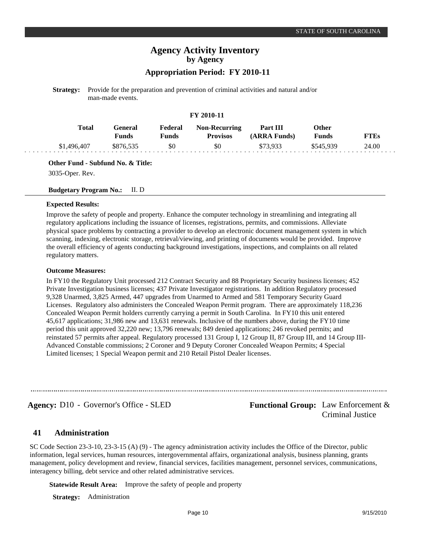# **Appropriation Period: FY 2010-11**

**Strategy:** Provide for the preparation and prevention of criminal activities and natural and/or man-made events.

### **FY 2010-11**

| Total       | General<br>Funds | Federal<br>Funds | <b>Non-Recurring</b><br><b>Provisos</b> | Part III<br>(ARRA Funds) | Other<br><b>Funds</b> | <b>FTEs</b> |
|-------------|------------------|------------------|-----------------------------------------|--------------------------|-----------------------|-------------|
| \$1,496,407 | \$876.535        | \$0              | \$0                                     | \$73.933                 | \$545,939             | 24.00       |

**Other Fund - Subfund No. & Title:**

3035-Oper. Rev.

### **Budgetary Program No.:** II. D

### **Expected Results:**

Improve the safety of people and property. Enhance the computer technology in streamlining and integrating all regulatory applications including the issuance of licenses, registrations, permits, and commissions. Alleviate physical space problems by contracting a provider to develop an electronic document management system in which scanning, indexing, electronic storage, retrieval/viewing, and printing of documents would be provided. Improve the overall efficiency of agents conducting background investigations, inspections, and complaints on all related regulatory matters.

### **Outcome Measures:**

In FY10 the Regulatory Unit processed 212 Contract Security and 88 Proprietary Security business licenses; 452 Private Investigation business licenses; 437 Private Investigator registrations. In addition Regulatory processed 9,328 Unarmed, 3,825 Armed, 447 upgrades from Unarmed to Armed and 581 Temporary Security Guard Licenses. Regulatory also administers the Concealed Weapon Permit program. There are approximately 118,236 Concealed Weapon Permit holders currently carrying a permit in South Carolina. In FY10 this unit entered 45,617 applications; 31,986 new and 13,631 renewals. Inclusive of the numbers above, during the FY10 time period this unit approved 32,220 new; 13,796 renewals; 849 denied applications; 246 revoked permits; and reinstated 57 permits after appeal. Regulatory processed 131 Group I, 12 Group II, 87 Group III, and 14 Group III-Advanced Constable commissions; 2 Coroner and 9 Deputy Coroner Concealed Weapon Permits; 4 Special Limited licenses; 1 Special Weapon permit and 210 Retail Pistol Dealer licenses.

**Agency:** D10 - Governor's Office - SLED **Functional Group:** Law Enforcement & Criminal Justice

#### **Administration 41**

SC Code Section 23-3-10, 23-3-15 (A) (9) - The agency administration activity includes the Office of the Director, public information, legal services, human resources, intergovernmental affairs, organizational analysis, business planning, grants management, policy development and review, financial services, facilities management, personnel services, communications, interagency billing, debt service and other related administrative services.

**Statewide Result Area:** Improve the safety of people and property

**Strategy:** Administration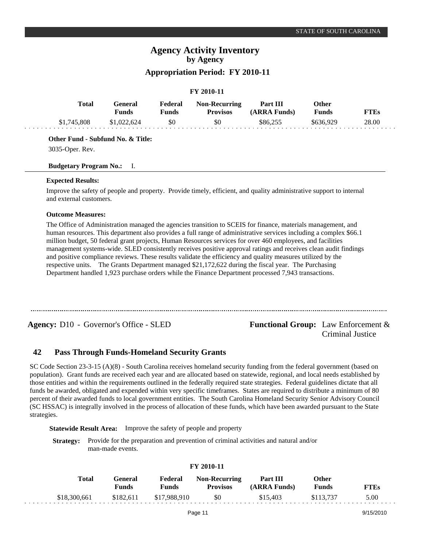# **Appropriation Period: FY 2010-11**

### **FY 2010-11**

| Total       | Feneral<br>Funds | Federal<br><b>Funds</b> | <b>Non-Recurring</b><br>Provisos | Part III<br>(ARRA Funds) | Other<br>Funds | <b>FTEs</b> |
|-------------|------------------|-------------------------|----------------------------------|--------------------------|----------------|-------------|
| \$1,745,808 | \$1,022,624      | \$0                     | \$0                              | \$86.255                 | \$636,929      | 28.00       |

### **Other Fund - Subfund No. & Title:**

3035-Oper. Rev.

### **Budgetary Program No.:** I.

### **Expected Results:**

Improve the safety of people and property. Provide timely, efficient, and quality administrative support to internal and external customers.

### **Outcome Measures:**

The Office of Administration managed the agencies transition to SCEIS for finance, materials management, and human resources. This department also provides a full range of administrative services including a complex \$66.1 million budget, 50 federal grant projects, Human Resources services for over 460 employees, and facilities management systems-wide. SLED consistently receives positive approval ratings and receives clean audit findings and positive compliance reviews. These results validate the efficiency and quality measures utilized by the respective units. The Grants Department managed \$21,172,622 during the fiscal year. The Purchasing Department handled 1,923 purchase orders while the Finance Department processed 7,943 transactions.

**Agency:** D10 - Governor's Office - SLED **Functional Group:** Law Enforcement &

# Criminal Justice

#### **Pass Through Funds-Homeland Security Grants 42**

SC Code Section 23-3-15 (A)(8) - South Carolina receives homeland security funding from the federal government (based on population). Grant funds are received each year and are allocated based on statewide, regional, and local needs established by those entities and within the requirements outlined in the federally required state strategies. Federal guidelines dictate that all funds be awarded, obligated and expended within very specific timeframes. States are required to distribute a minimum of 80 percent of their awarded funds to local government entities. The South Carolina Homeland Security Senior Advisory Council (SC HSSAC) is integrally involved in the process of allocation of these funds, which have been awarded pursuant to the State strategies.

**Statewide Result Area:** Improve the safety of people and property

**Strategy:** Provide for the preparation and prevention of criminal activities and natural and/or man-made events.

| Total        | General<br>Funds | Federal<br>Funds | <b>Non-Recurring</b><br><b>Provisos</b> | Part III<br>(ARRA Funds) | Other<br><b>Funds</b> | <b>FTEs</b> |
|--------------|------------------|------------------|-----------------------------------------|--------------------------|-----------------------|-------------|
| \$18,300,661 | \$182.611        | \$17,988,910     | - \$0                                   | \$15,403                 | \$113.737             | 5.00        |

### **FY 2010-11**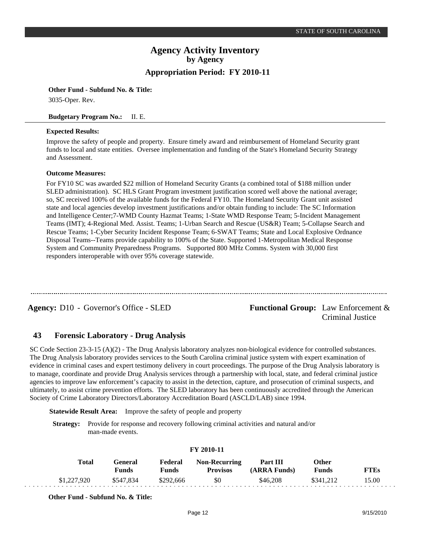**Other Fund - Subfund No. & Title:**

3035-Oper. Rev.

### **Budgetary Program No.:** II. E.

### **Expected Results:**

Improve the safety of people and property. Ensure timely award and reimbursement of Homeland Security grant funds to local and state entities. Oversee implementation and funding of the State's Homeland Security Strategy and Assessment.

### **Outcome Measures:**

For FY10 SC was awarded \$22 million of Homeland Security Grants (a combined total of \$188 million under SLED administration). SC HLS Grant Program investment justification scored well above the national average; so, SC received 100% of the available funds for the Federal FY10. The Homeland Security Grant unit assisted state and local agencies develop investment justifications and/or obtain funding to include: The SC Information and Intelligence Center;7-WMD County Hazmat Teams; 1-State WMD Response Team; 5-Incident Management Teams (IMT); 4-Regional Med. Assist. Teams; 1-Urban Search and Rescue (US&R) Team; 5-Collapse Search and Rescue Teams; 1-Cyber Security Incident Response Team; 6-SWAT Teams; State and Local Explosive Ordnance Disposal Teams--Teams provide capability to 100% of the State. Supported 1-Metropolitan Medical Response System and Community Preparedness Programs. Supported 800 MHz Comms. System with 30,000 first responders interoperable with over 95% coverage statewide.

Agency: D10 - Governor's Office - SLED **Functional Group:** Law Enforcement & Criminal Justice

#### **Forensic Laboratory - Drug Analysis 43**

SC Code Section 23-3-15 (A)(2) - The Drug Analysis laboratory analyzes non-biological evidence for controlled substances. The Drug Analysis laboratory provides services to the South Carolina criminal justice system with expert examination of evidence in criminal cases and expert testimony delivery in court proceedings. The purpose of the Drug Analysis laboratory is to manage, coordinate and provide Drug Analysis services through a partnership with local, state, and federal criminal justice agencies to improve law enforcement's capacity to assist in the detection, capture, and prosecution of criminal suspects, and ultimately, to assist crime prevention efforts. The SLED laboratory has been continuously accredited through the American Society of Crime Laboratory Directors/Laboratory Accreditation Board (ASCLD/LAB) since 1994.

**Statewide Result Area:** Improve the safety of people and property

**Strategy:** Provide for response and recovery following criminal activities and natural and/or man-made events.

| <b>FY 2010-11</b> |                         |                         |                                         |                          |                       |             |  |  |  |
|-------------------|-------------------------|-------------------------|-----------------------------------------|--------------------------|-----------------------|-------------|--|--|--|
| <b>Total</b>      | General<br><b>Funds</b> | Federal<br><b>Funds</b> | <b>Non-Recurring</b><br><b>Provisos</b> | Part III<br>(ARRA Funds) | Other<br><b>Funds</b> | <b>FTEs</b> |  |  |  |
| \$1,227,920       | \$547.834               | \$292,666               | \$0                                     | \$46,208                 | \$341.212             | 15.00       |  |  |  |

**Other Fund - Subfund No. & Title:**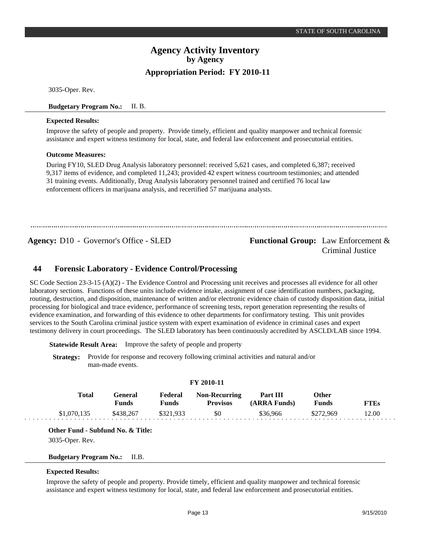3035-Oper. Rev.

### **Budgetary Program No.:** II. B.

### **Expected Results:**

Improve the safety of people and property. Provide timely, efficient and quality manpower and technical forensic assistance and expert witness testimony for local, state, and federal law enforcement and prosecutorial entities.

### **Outcome Measures:**

During FY10, SLED Drug Analysis laboratory personnel: received 5,621 cases, and completed 6,387; received 9,317 items of evidence, and completed 11,243; provided 42 expert witness courtroom testimonies; and attended 31 training events. Additionally, Drug Analysis laboratory personnel trained and certified 76 local law enforcement officers in marijuana analysis, and recertified 57 marijuana analysts.

**Agency:** D10 - Governor's Office - SLED **Functional Group:** Law Enforcement & Criminal Justice

#### **Forensic Laboratory - Evidence Control/Processing 44**

SC Code Section 23-3-15 (A)(2) - The Evidence Control and Processing unit receives and processes all evidence for all other laboratory sections. Functions of these units include evidence intake, assignment of case identification numbers, packaging, routing, destruction, and disposition, maintenance of written and/or electronic evidence chain of custody disposition data, initial processing for biological and trace evidence, performance of screening tests, report generation representing the results of evidence examination, and forwarding of this evidence to other departments for confirmatory testing. This unit provides services to the South Carolina criminal justice system with expert examination of evidence in criminal cases and expert testimony delivery in court proceedings. The SLED laboratory has been continuously accredited by ASCLD/LAB since 1994.

**Statewide Result Area:** Improve the safety of people and property

**Strategy:** Provide for response and recovery following criminal activities and natural and/or man-made events.

### **FY 2010-11**

| <b>Total</b> | General   | Federal   | <b>Non-Recurring</b> | <b>Part III</b> | Other        |       |
|--------------|-----------|-----------|----------------------|-----------------|--------------|-------|
|              | Funds     | Funds     | <b>Provisos</b>      | (ARRA Funds)    | <b>Funds</b> | FTEs  |
| \$1,070,135  | \$438,267 | \$321.933 | \$0                  | \$36,966        | \$272.969    | 12.00 |

**Other Fund - Subfund No. & Title:**

3035-Oper. Rev.

**Budgetary Program No.:** II.B.

### **Expected Results:**

Improve the safety of people and property. Provide timely, efficient and quality manpower and technical forensic assistance and expert witness testimony for local, state, and federal law enforcement and prosecutorial entities.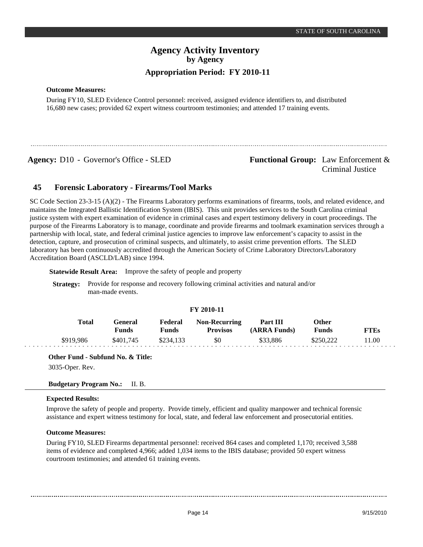**Outcome Measures:**

During FY10, SLED Evidence Control personnel: received, assigned evidence identifiers to, and distributed 16,680 new cases; provided 62 expert witness courtroom testimonies; and attended 17 training events.

**Agency:** D10 - Governor's Office - SLED **Functional Group:** Law Enforcement &

Criminal Justice

#### **Forensic Laboratory - Firearms/Tool Marks 45**

SC Code Section 23-3-15 (A)(2) - The Firearms Laboratory performs examinations of firearms, tools, and related evidence, and maintains the Integrated Ballistic Identification System (IBIS). This unit provides services to the South Carolina criminal justice system with expert examination of evidence in criminal cases and expert testimony delivery in court proceedings. The purpose of the Firearms Laboratory is to manage, coordinate and provide firearms and toolmark examination services through a partnership with local, state, and federal criminal justice agencies to improve law enforcement's capacity to assist in the detection, capture, and prosecution of criminal suspects, and ultimately, to assist crime prevention efforts. The SLED laboratory has been continuously accredited through the American Society of Crime Laboratory Directors/Laboratory Accreditation Board (ASCLD/LAB) since 1994.

**Statewide Result Area:** Improve the safety of people and property

**Strategy:** Provide for response and recovery following criminal activities and natural and/or man-made events.

### **FY 2010-11**

| Total     | General<br><b>Funds</b> | Federal<br>Funds | <b>Non-Recurring</b><br><b>Provisos</b> | Part III<br>(ARRA Funds) | Other<br>Funds | <b>FTEs</b> |
|-----------|-------------------------|------------------|-----------------------------------------|--------------------------|----------------|-------------|
| \$919.986 | \$401,745               | \$234.133        | \$0                                     | \$33.886                 | \$250,222      | 11.00       |

**Other Fund - Subfund No. & Title:**

3035-Oper. Rev.

### **Budgetary Program No.:** II. B.

### **Expected Results:**

Improve the safety of people and property. Provide timely, efficient and quality manpower and technical forensic assistance and expert witness testimony for local, state, and federal law enforcement and prosecutorial entities.

### **Outcome Measures:**

During FY10, SLED Firearms departmental personnel: received 864 cases and completed 1,170; received 3,588 items of evidence and completed 4,966; added 1,034 items to the IBIS database; provided 50 expert witness courtroom testimonies; and attended 61 training events.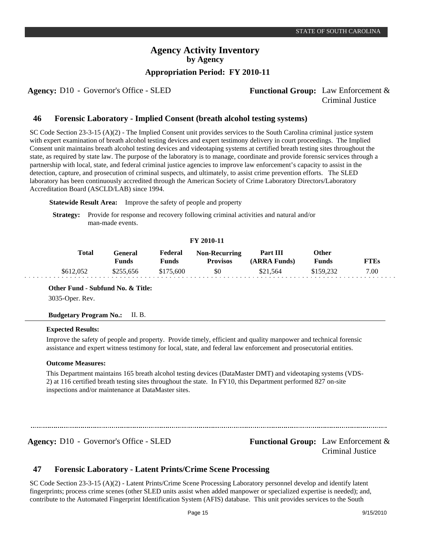# **Appropriation Period: FY 2010-11**

# **Agency:** D10 - Governor's Office - SLED Functional Group: Law Enforcement & Criminal Justice

#### **Forensic Laboratory - Implied Consent (breath alcohol testing systems) 46**

SC Code Section 23-3-15 (A)(2) - The Implied Consent unit provides services to the South Carolina criminal justice system with expert examination of breath alcohol testing devices and expert testimony delivery in court proceedings. The Implied Consent unit maintains breath alcohol testing devices and videotaping systems at certified breath testing sites throughout the state, as required by state law. The purpose of the laboratory is to manage, coordinate and provide forensic services through a partnership with local, state, and federal criminal justice agencies to improve law enforcement's capacity to assist in the detection, capture, and prosecution of criminal suspects, and ultimately, to assist crime prevention efforts. The SLED laboratory has been continuously accredited through the American Society of Crime Laboratory Directors/Laboratory Accreditation Board (ASCLD/LAB) since 1994.

**Statewide Result Area:** Improve the safety of people and property

**Strategy:** Provide for response and recovery following criminal activities and natural and/or man-made events.

### **FY 2010-11**

| Total     | General)<br><b>Funds</b> | Federal<br>Funds | <b>Non-Recurring</b><br><b>Provisos</b> | <b>Part III</b><br>(ARRA Funds) | Other<br>Funds | FTEs |
|-----------|--------------------------|------------------|-----------------------------------------|---------------------------------|----------------|------|
| \$612,052 | \$255.656                | \$175,600        | \$0                                     | \$21.564                        | \$159.232      | 7.00 |

**Other Fund - Subfund No. & Title:**

3035-Oper. Rev.

**Budgetary Program No.:** II. B.

### **Expected Results:**

Improve the safety of people and property. Provide timely, efficient and quality manpower and technical forensic assistance and expert witness testimony for local, state, and federal law enforcement and prosecutorial entities.

### **Outcome Measures:**

This Department maintains 165 breath alcohol testing devices (DataMaster DMT) and videotaping systems (VDS-2) at 116 certified breath testing sites throughout the state. In FY10, this Department performed 827 on-site inspections and/or maintenance at DataMaster sites.

# **Agency:** D10 - Governor's Office - SLED **Functional Group:** Law Enforcement & Criminal Justice

#### **Forensic Laboratory - Latent Prints/Crime Scene Processing 47**

SC Code Section 23-3-15 (A)(2) - Latent Prints/Crime Scene Processing Laboratory personnel develop and identify latent fingerprints; process crime scenes (other SLED units assist when added manpower or specialized expertise is needed); and, contribute to the Automated Fingerprint Identification System (AFIS) database. This unit provides services to the South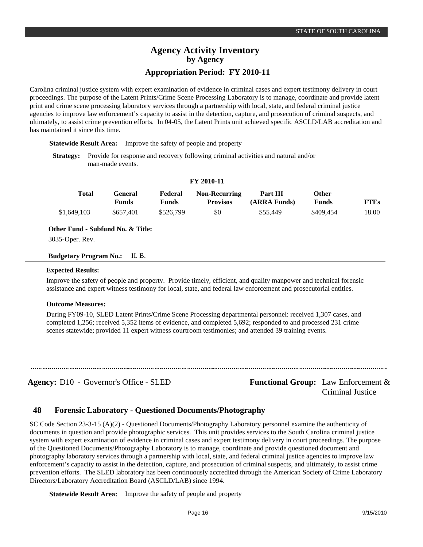Carolina criminal justice system with expert examination of evidence in criminal cases and expert testimony delivery in court proceedings. The purpose of the Latent Prints/Crime Scene Processing Laboratory is to manage, coordinate and provide latent print and crime scene processing laboratory services through a partnership with local, state, and federal criminal justice agencies to improve law enforcement's capacity to assist in the detection, capture, and prosecution of criminal suspects, and ultimately, to assist crime prevention efforts. In 04-05, the Latent Prints unit achieved specific ASCLD/LAB accreditation and has maintained it since this time.

**Statewide Result Area:** Improve the safety of people and property

**Strategy:** Provide for response and recovery following criminal activities and natural and/or man-made events.

| Total       | <b>General</b><br>Funds | Federal<br>Funds | <b>Non-Recurring</b><br><b>Provisos</b> | Part III<br>(ARRA Funds) | Other<br><b>Funds</b> | <b>FTEs</b> |
|-------------|-------------------------|------------------|-----------------------------------------|--------------------------|-----------------------|-------------|
| \$1,649,103 | \$657.401               | \$526.799        | \$0                                     | \$55,449                 | \$409.454             | 18.00       |

**FY 2010-11**

**Other Fund - Subfund No. & Title:**

3035-Oper. Rev.

### **Budgetary Program No.:** II. B.

### **Expected Results:**

Improve the safety of people and property. Provide timely, efficient, and quality manpower and technical forensic assistance and expert witness testimony for local, state, and federal law enforcement and prosecutorial entities.

### **Outcome Measures:**

During FY09-10, SLED Latent Prints/Crime Scene Processing departmental personnel: received 1,307 cases, and completed 1,256; received 5,352 items of evidence, and completed 5,692; responded to and processed 231 crime scenes statewide; provided 11 expert witness courtroom testimonies; and attended 39 training events.

Agency: D10 - Governor's Office - SLED **Functional Group:** Law Enforcement & Criminal Justice

#### **Forensic Laboratory - Questioned Documents/Photography 48**

SC Code Section 23-3-15 (A)(2) - Questioned Documents/Photography Laboratory personnel examine the authenticity of documents in question and provide photographic services. This unit provides services to the South Carolina criminal justice system with expert examination of evidence in criminal cases and expert testimony delivery in court proceedings. The purpose of the Questioned Documents/Photography Laboratory is to manage, coordinate and provide questioned document and photography laboratory services through a partnership with local, state, and federal criminal justice agencies to improve law enforcement's capacity to assist in the detection, capture, and prosecution of criminal suspects, and ultimately, to assist crime prevention efforts. The SLED laboratory has been continuously accredited through the American Society of Crime Laboratory Directors/Laboratory Accreditation Board (ASCLD/LAB) since 1994.

**Statewide Result Area:** Improve the safety of people and property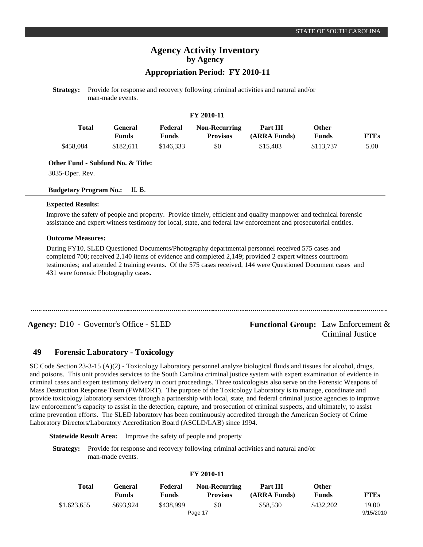# **Appropriation Period: FY 2010-11**

**Strategy:** Provide for response and recovery following criminal activities and natural and/or man-made events.

### **FY 2010-11**

| Total     | General<br>Funds | Federal<br>Funds | <b>Non-Recurring</b><br><b>Provisos</b> | Part III<br>(ARRA Funds) | Other<br>Funds | <b>FTEs</b> |
|-----------|------------------|------------------|-----------------------------------------|--------------------------|----------------|-------------|
| \$458.084 | \$182,611        | \$146.333        | \$0                                     | \$15,403                 | \$113,737      | 5.00        |

**Other Fund - Subfund No. & Title:**

3035-Oper. Rev.

### **Budgetary Program No.:** II. B.

### **Expected Results:**

Improve the safety of people and property. Provide timely, efficient and quality manpower and technical forensic assistance and expert witness testimony for local, state, and federal law enforcement and prosecutorial entities.

### **Outcome Measures:**

During FY10, SLED Questioned Documents/Photography departmental personnel received 575 cases and completed 700; received 2,140 items of evidence and completed 2,149; provided 2 expert witness courtroom testimonies; and attended 2 training events. Of the 575 cases received, 144 were Questioned Document cases and 431 were forensic Photography cases.

**Agency:** D10 - Governor's Office - SLED **Functional Group:** Law Enforcement & Criminal Justice

#### **Forensic Laboratory - Toxicology 49**

SC Code Section 23-3-15 (A)(2) - Toxicology Laboratory personnel analyze biological fluids and tissues for alcohol, drugs, and poisons. This unit provides services to the South Carolina criminal justice system with expert examination of evidence in criminal cases and expert testimony delivery in court proceedings. Three toxicologists also serve on the Forensic Weapons of Mass Destruction Response Team (FWMDRT). The purpose of the Toxicology Laboratory is to manage, coordinate and provide toxicology laboratory services through a partnership with local, state, and federal criminal justice agencies to improve law enforcement's capacity to assist in the detection, capture, and prosecution of criminal suspects, and ultimately, to assist crime prevention efforts. The SLED laboratory has been continuously accredited through the American Society of Crime Laboratory Directors/Laboratory Accreditation Board (ASCLD/LAB) since 1994.

**Statewide Result Area:** Improve the safety of people and property

**Strategy:** Provide for response and recovery following criminal activities and natural and/or man-made events.

### **FY 2010-11**

| Total       | General<br><b>Funds</b> | Federal<br><b>Funds</b> | <b>Non-Recurring</b><br><b>Provisos</b> | Part III<br>(ARRA Funds) | Other<br><b>Funds</b> | <b>FTEs</b> |
|-------------|-------------------------|-------------------------|-----------------------------------------|--------------------------|-----------------------|-------------|
| \$1,623,655 | \$693.924               | \$438.999               | \$0                                     | \$58,530                 | \$432,202             | 19.00       |
|             |                         |                         | Page 17                                 |                          |                       | 9/15/2010   |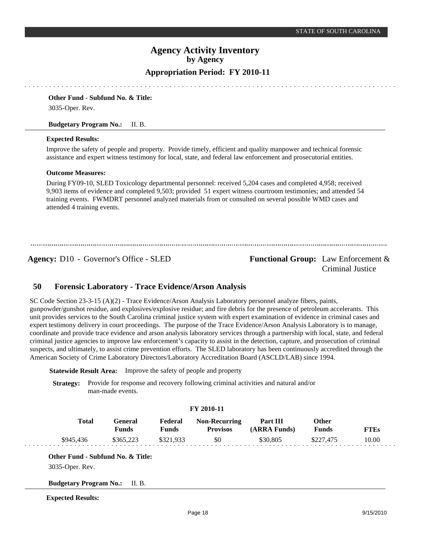**Other Fund - Subfund No. & Title:**

3035-Oper. Rev.

### **Budgetary Program No.:** II. B.

### **Expected Results:**

Improve the safety of people and property. Provide timely, efficient and quality manpower and technical forensic assistance and expert witness testimony for local, state, and federal law enforcement and prosecutorial entities.

### **Outcome Measures:**

During FY09-10, SLED Toxicology departmental personnel: received 5,204 cases and completed 4,958; received 9,903 items of evidence and completed 9,503; provided 51 expert witness courtroom testimonies; and attended 54 training events. FWMDRT personnel analyzed materials from or consulted on several possible WMD cases and attended 4 training events.

**Agency:** D10 - Governor's Office - SLED **Functional Group:** Law Enforcement &

# Criminal Justice

#### **Forensic Laboratory - Trace Evidence/Arson Analysis 50**

SC Code Section 23-3-15 (A)(2) - Trace Evidence/Arson Analysis Laboratory personnel analyze fibers, paints, gunpowder/gunshot residue, and explosives/explosive residue; and fire debris for the presence of petroleum accelerants. This unit provides services to the South Carolina criminal justice system with expert examination of evidence in criminal cases and expert testimony delivery in court proceedings. The purpose of the Trace Evidence/Arson Analysis Laboratory is to manage, coordinate and provide trace evidence and arson analysis laboratory services through a partnership with local, state, and federal criminal justice agencies to improve law enforcement's capacity to assist in the detection, capture, and prosecution of criminal suspects, and ultimately, to assist crime prevention efforts. The SLED laboratory has been continuously accredited through the American Society of Crime Laboratory Directors/Laboratory Accreditation Board (ASCLD/LAB) since 1994.

**Statewide Result Area:** Improve the safety of people and property

**Strategy:** Provide for response and recovery following criminal activities and natural and/or man-made events.

### **FY 2010-11**

| Total     | General<br>Funds | Federal<br>Funds | <b>Non-Recurring</b><br><b>Provisos</b> | Part III<br>(ARRA Funds) | Other<br>Funds | <b>FTEs</b> |
|-----------|------------------|------------------|-----------------------------------------|--------------------------|----------------|-------------|
| \$945.436 | \$365,223        | \$321.933        | \$0                                     | \$30,805                 | \$227,475      | 10.00       |

### **Other Fund - Subfund No. & Title:**

3035-Oper. Rev.

**Budgetary Program No.:** II. B.

### **Expected Results:**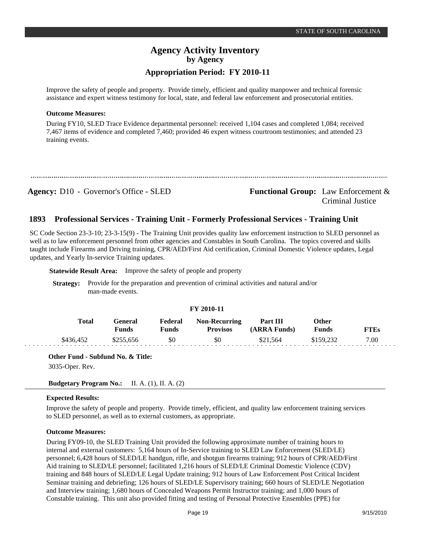Improve the safety of people and property. Provide timely, efficient and quality manpower and technical forensic assistance and expert witness testimony for local, state, and federal law enforcement and prosecutorial entities.

### **Outcome Measures:**

During FY10, SLED Trace Evidence departmental personnel: received 1,104 cases and completed 1,084; received 7,467 items of evidence and completed 7,460; provided 46 expert witness courtroom testimonies; and attended 23 training events.

**Agency:** D10 - Governor's Office - SLED **Functional Group:** Law Enforcement & Criminal Justice

#### **Professional Services - Training Unit - Formerly Professional Services - Training Unit 1893**

SC Code Section 23-3-10; 23-3-15(9) - The Training Unit provides quality law enforcement instruction to SLED personnel as well as to law enforcement personnel from other agencies and Constables in South Carolina. The topics covered and skills taught include Firearms and Driving training, CPR/AED/First Aid certification, Criminal Domestic Violence updates, Legal updates, and Yearly In-service Training updates.

**Statewide Result Area:** Improve the safety of people and property

**Strategy:** Provide for the preparation and prevention of criminal activities and natural and/or man-made events.

### **FY 2010-11**

| Total     | <b>Feneral</b><br>Funds | <b>Federal</b><br>Funds | <b>Non-Recurring</b><br><b>Provisos</b> | Part III<br>(ARRA Funds) | Other<br><b>Funds</b> | FTEs |
|-----------|-------------------------|-------------------------|-----------------------------------------|--------------------------|-----------------------|------|
| \$436,452 | \$255,656               | \$0                     | \$0                                     | \$21.564                 |                       | 7.00 |

**Other Fund - Subfund No. & Title:** 3035-Oper. Rev.

```
Budgetary Program No.: II. A. (1), II. A. (2)
```
### **Expected Results:**

Improve the safety of people and property. Provide timely, efficient, and quality law enforcement training services to SLED personnel, as well as to external customers, as appropriate.

### **Outcome Measures:**

During FY09-10, the SLED Training Unit provided the following approximate number of training hours to internal and external customers: 5,164 hours of In-Service training to SLED Law Enforcement (SLED/LE) personnel; 6,428 hours of SLED/LE handgun, rifle, and shotgun firearms training; 912 hours of CPR/AED/First Aid training to SLED/LE personnel; facilitated 1,216 hours of SLED/LE Criminal Domestic Violence (CDV) training and 848 hours of SLED/LE Legal Update training; 912 hours of Law Enforcement Post Critical Incident Seminar training and debriefing; 126 hours of SLED/LE Supervisory training; 660 hours of SLED/LE Negotiation and Interview training; 1,680 hours of Concealed Weapons Permit Instructor training; and 1,000 hours of Constable training. This unit also provided fitting and testing of Personal Protective Ensembles (PPE) for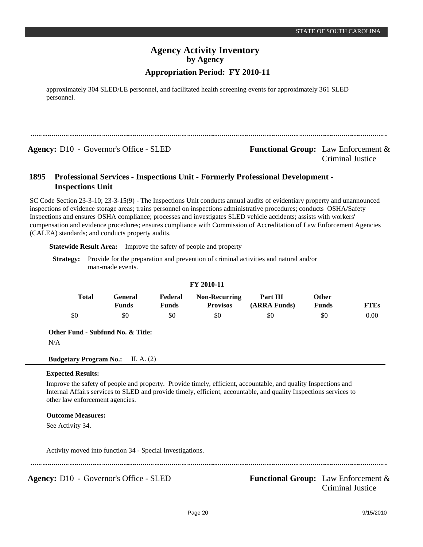# **Appropriation Period: FY 2010-11**

approximately 304 SLED/LE personnel, and facilitated health screening events for approximately 361 SLED personnel.

**Agency:** D10 - Governor's Office - SLED **Functional Group:** Law Enforcement & Criminal Justice

### **Professional Services - Inspections Unit - Formerly Professional Development - Inspections Unit 1895**

SC Code Section 23-3-10; 23-3-15(9) - The Inspections Unit conducts annual audits of evidentiary property and unannounced inspections of evidence storage areas; trains personnel on inspections administrative procedures; conducts OSHA/Safety Inspections and ensures OSHA compliance; processes and investigates SLED vehicle accidents; assists with workers' compensation and evidence procedures; ensures compliance with Commission of Accreditation of Law Enforcement Agencies (CALEA) standards; and conducts property audits.

**Statewide Result Area:** Improve the safety of people and property

**Strategy:** Provide for the preparation and prevention of criminal activities and natural and/or man-made events.

### **FY 2010-11**

| <b>Total</b> | Feneral<br>Funds | <b>Federal</b><br>Funds | <b>Non-Recurring</b><br><b>Provisos</b> | Part III<br>(ARRA Funds) | Other<br><b>Funds</b> | <sup>T</sup> TEs |
|--------------|------------------|-------------------------|-----------------------------------------|--------------------------|-----------------------|------------------|
| эU           | \$0              | \$0                     | \$0                                     | \$0                      | \$0                   | $0.00\,$         |

**Other Fund - Subfund No. & Title:**

N/A

**Budgetary Program No.:** II. A. (2)

### **Expected Results:**

Improve the safety of people and property. Provide timely, efficient, accountable, and quality Inspections and Internal Affairs services to SLED and provide timely, efficient, accountable, and quality Inspections services to other law enforcement agencies.

### **Outcome Measures:**

See Activity 34.

Activity moved into function 34 - Special Investigations.

**Agency:** D10 - Governor's Office - SLED **Functional Group:** Law Enforcement &

Criminal Justice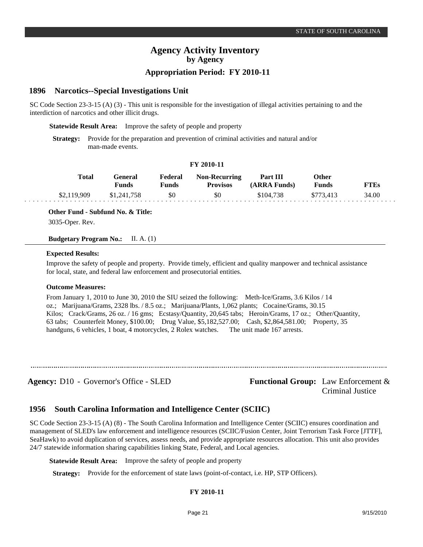# **Appropriation Period: FY 2010-11**

#### **Narcotics--Special Investigations Unit 1896**

SC Code Section 23-3-15 (A) (3) - This unit is responsible for the investigation of illegal activities pertaining to and the interdiction of narcotics and other illicit drugs.

**Statewide Result Area:** Improve the safety of people and property

**Strategy:** Provide for the preparation and prevention of criminal activities and natural and/or man-made events.

### **FY 2010-11**

| <b>Total</b> | General<br><b>Funds</b> | Federal<br><b>Funds</b> | <b>Non-Recurring</b><br><b>Provisos</b> | <b>Part III</b><br>(ARRA Funds) | Other<br><b>Funds</b> | <b>FTEs</b> |
|--------------|-------------------------|-------------------------|-----------------------------------------|---------------------------------|-----------------------|-------------|
| \$2,119,909  | \$1,241,758             | \$0                     | \$0                                     | \$104.738                       | \$773.413             | 34.00       |

**Other Fund - Subfund No. & Title:**

3035-Oper. Rev.

**Budgetary Program No.:** II. A. (1)

### **Expected Results:**

Improve the safety of people and property. Provide timely, efficient and quality manpower and technical assistance for local, state, and federal law enforcement and prosecutorial entities.

### **Outcome Measures:**

From January 1, 2010 to June 30, 2010 the SIU seized the following: Meth-Ice/Grams, 3.6 Kilos / 14 oz.; Marijuana/Grams, 2328 lbs. / 8.5 oz.; Marijuana/Plants, 1,062 plants; Cocaine/Grams, 30.15 Kilos; Crack/Grams, 26 oz. / 16 gms; Ecstasy/Quantity, 20,645 tabs; Heroin/Grams, 17 oz.; Other/Quantity, 63 tabs; Counterfeit Money, \$100.00; Drug Value, \$5,182,527.00; Cash, \$2,864,581.00; Property, 35 handguns, 6 vehicles, 1 boat, 4 motorcycles, 2 Rolex watches. The unit made 167 arrests.

Agency: D10 - Governor's Office - SLED Functional Group: Law Enforcement & Criminal Justice

#### **South Carolina Information and Intelligence Center (SCIIC) 1956**

SC Code Section 23-3-15 (A) (8) - The South Carolina Information and Intelligence Center (SCIIC) ensures coordination and management of SLED's law enforcement and intelligence resources (SCIIC/Fusion Center, Joint Terrorism Task Force [JTTF], SeaHawk) to avoid duplication of services, assess needs, and provide appropriate resources allocation. This unit also provides 24/7 statewide information sharing capabilities linking State, Federal, and Local agencies.

**Statewide Result Area:** Improve the safety of people and property

**Strategy:** Provide for the enforcement of state laws (point-of-contact, i.e. HP, STP Officers).

### **FY 2010-11**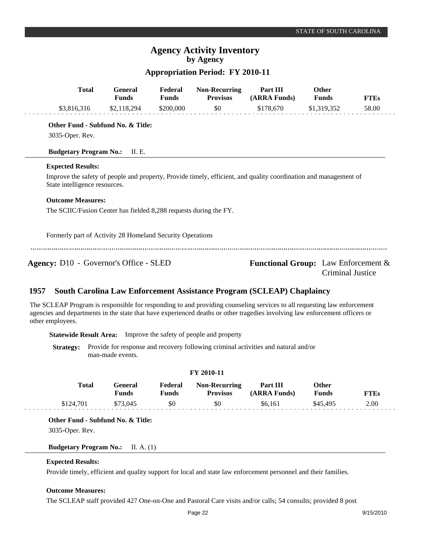# **Appropriation Period: FY 2010-11**

| <b>Total</b>                                                                                                                                      | <b>General</b><br><b>Funds</b> | Federal<br><b>Funds</b> | <b>Non-Recurring</b><br><b>Provisos</b> | Part III<br>(ARRA Funds)                   | <b>Other</b><br><b>Funds</b> | <b>FTEs</b> |
|---------------------------------------------------------------------------------------------------------------------------------------------------|--------------------------------|-------------------------|-----------------------------------------|--------------------------------------------|------------------------------|-------------|
| \$3,816,316                                                                                                                                       | \$2,118,294                    | \$200,000               | \$0                                     | \$178,670                                  | \$1,319,352                  | 58.00       |
| Other Fund - Subfund No. & Title:                                                                                                                 |                                |                         |                                         |                                            |                              |             |
| 3035-Oper. Rev.                                                                                                                                   |                                |                         |                                         |                                            |                              |             |
| <b>Budgetary Program No.:</b>                                                                                                                     | II. E.                         |                         |                                         |                                            |                              |             |
| <b>Expected Results:</b>                                                                                                                          |                                |                         |                                         |                                            |                              |             |
| Improve the safety of people and property, Provide timely, efficient, and quality coordination and management of<br>State intelligence resources. |                                |                         |                                         |                                            |                              |             |
| <b>Outcome Measures:</b>                                                                                                                          |                                |                         |                                         |                                            |                              |             |
| The SCIIC/Fusion Center has fielded 8,288 requests during the FY.                                                                                 |                                |                         |                                         |                                            |                              |             |
| Formerly part of Activity 28 Homeland Security Operations                                                                                         |                                |                         |                                         |                                            |                              |             |
| <b>Agency:</b> D10 - Governor's Office - SLED                                                                                                     |                                |                         |                                         | <b>Functional Group:</b> Law Enforcement & | Criminal Justice             |             |

#### **South Carolina Law Enforcement Assistance Program (SCLEAP) Chaplaincy 1957**

The SCLEAP Program is responsible for responding to and providing counseling services to all requesting law enforcement agencies and departments in the state that have experienced deaths or other tragedies involving law enforcement officers or other employees.

**Statewide Result Area:** Improve the safety of people and property

**Strategy:** Provide for response and recovery following criminal activities and natural and/or man-made events.

| <b>FY 2010-11</b> |              |                         |                         |                                         |                                 |                              |             |
|-------------------|--------------|-------------------------|-------------------------|-----------------------------------------|---------------------------------|------------------------------|-------------|
|                   | <b>Total</b> | General<br><b>Funds</b> | Federal<br><b>Funds</b> | <b>Non-Recurring</b><br><b>Provisos</b> | <b>Part III</b><br>(ARRA Funds) | <b>Other</b><br><b>Funds</b> | <b>FTEs</b> |
|                   | \$124,701    | \$73.045                | \$0                     | \$0                                     | \$6.161                         | \$45,495                     | 2.00        |

**Other Fund - Subfund No. & Title:**

3035-Oper. Rev.

**Budgetary Program No.:** II. A. (1)

### **Expected Results:**

Provide timely, efficient and quality support for local and state law enforcement personnel and their families.

### **Outcome Measures:**

The SCLEAP staff provided 427 One-on-One and Pastoral Care visits and/or calls; 54 consults; provided 8 post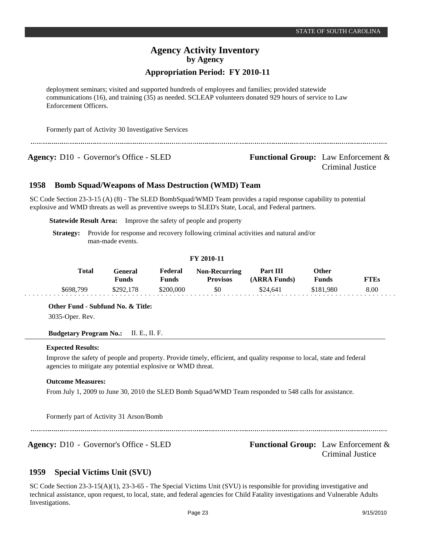# **Appropriation Period: FY 2010-11**

deployment seminars; visited and supported hundreds of employees and families; provided statewide communications (16), and training (35) as needed. SCLEAP volunteers donated 929 hours of service to Law Enforcement Officers.

Formerly part of Activity 30 Investigative Services

**Agency:** D10 - Governor's Office - SLED **Functional Group:** Law Enforcement &

Criminal Justice

#### **Bomb Squad/Weapons of Mass Destruction (WMD) Team 1958**

SC Code Section 23-3-15 (A) (8) - The SLED BombSquad/WMD Team provides a rapid response capability to potential explosive and WMD threats as well as preventive sweeps to SLED's State, Local, and Federal partners.

**Statewide Result Area:** Improve the safety of people and property

**Strategy:** Provide for response and recovery following criminal activities and natural and/or man-made events.

### **FY 2010-11**

| <b>Total</b> | General<br>Funds | Federal<br>Funds | <b>Non-Recurring</b><br><b>Provisos</b> | Part III<br>(ARRA Funds) | Other<br>Funds | FTEs |
|--------------|------------------|------------------|-----------------------------------------|--------------------------|----------------|------|
| \$698.799    | \$292,178        | \$200,000        | \$0                                     | \$24,641                 | \$181.980      | 8.00 |

**Other Fund - Subfund No. & Title:**

3035-Oper. Rev.

**Budgetary Program No.:** II. E., II. F.

### **Expected Results:**

Improve the safety of people and property. Provide timely, efficient, and quality response to local, state and federal agencies to mitigate any potential explosive or WMD threat.

### **Outcome Measures:**

From July 1, 2009 to June 30, 2010 the SLED Bomb Squad/WMD Team responded to 548 calls for assistance.

Formerly part of Activity 31 Arson/Bomb

Agency: D10 - Governor's Office - SLED **Functional Group:** Law Enforcement & Criminal Justice

#### **Special Victims Unit (SVU) 1959**

SC Code Section 23-3-15(A)(1), 23-3-65 - The Special Victims Unit (SVU) is responsible for providing investigative and technical assistance, upon request, to local, state, and federal agencies for Child Fatality investigations and Vulnerable Adults Investigations.